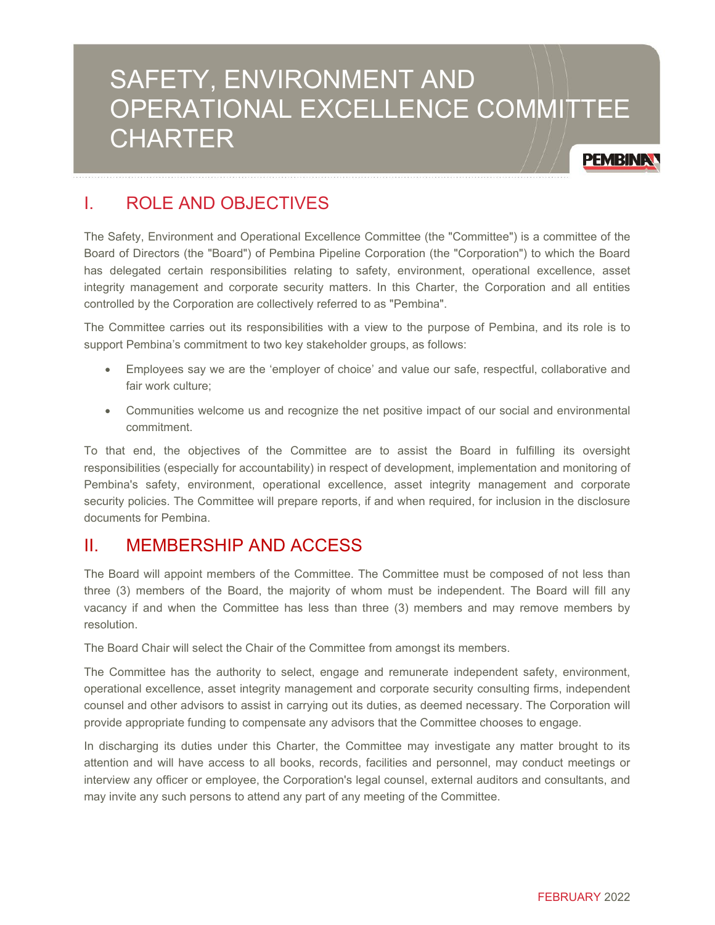# SAFETY, ENVIRONMENT AND OPERATIONAL EXCELLENCE COMMITTEE **CHARTER**

**PEMBINAY** 

## I. ROLE AND OBJECTIVES

The Safety, Environment and Operational Excellence Committee (the "Committee") is a committee of the Board of Directors (the "Board") of Pembina Pipeline Corporation (the "Corporation") to which the Board has delegated certain responsibilities relating to safety, environment, operational excellence, asset integrity management and corporate security matters. In this Charter, the Corporation and all entities controlled by the Corporation are collectively referred to as "Pembina".

The Committee carries out its responsibilities with a view to the purpose of Pembina, and its role is to support Pembina's commitment to two key stakeholder groups, as follows:

- Employees say we are the 'employer of choice' and value our safe, respectful, collaborative and fair work culture;
- Communities welcome us and recognize the net positive impact of our social and environmental commitment.

To that end, the objectives of the Committee are to assist the Board in fulfilling its oversight responsibilities (especially for accountability) in respect of development, implementation and monitoring of Pembina's safety, environment, operational excellence, asset integrity management and corporate security policies. The Committee will prepare reports, if and when required, for inclusion in the disclosure documents for Pembina.

### II. MEMBERSHIP AND ACCESS

The Board will appoint members of the Committee. The Committee must be composed of not less than three (3) members of the Board, the majority of whom must be independent. The Board will fill any vacancy if and when the Committee has less than three (3) members and may remove members by resolution.

The Board Chair will select the Chair of the Committee from amongst its members.

The Committee has the authority to select, engage and remunerate independent safety, environment, operational excellence, asset integrity management and corporate security consulting firms, independent counsel and other advisors to assist in carrying out its duties, as deemed necessary. The Corporation will provide appropriate funding to compensate any advisors that the Committee chooses to engage.

In discharging its duties under this Charter, the Committee may investigate any matter brought to its attention and will have access to all books, records, facilities and personnel, may conduct meetings or interview any officer or employee, the Corporation's legal counsel, external auditors and consultants, and may invite any such persons to attend any part of any meeting of the Committee.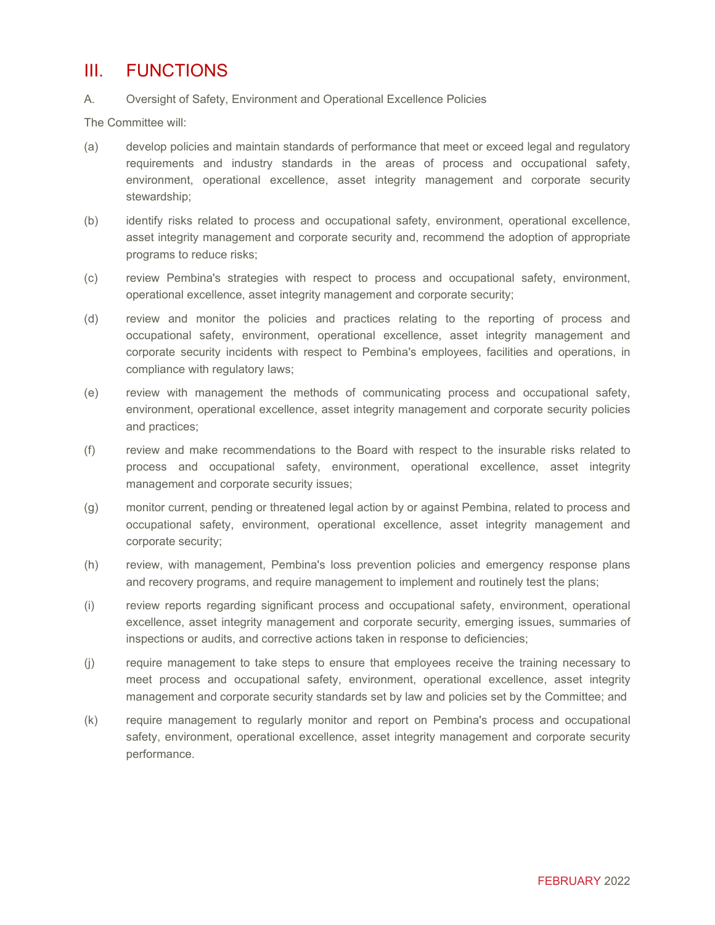### III. FUNCTIONS

#### A. Oversight of Safety, Environment and Operational Excellence Policies

The Committee will:

- (a) develop policies and maintain standards of performance that meet or exceed legal and regulatory requirements and industry standards in the areas of process and occupational safety, environment, operational excellence, asset integrity management and corporate security stewardship;
- (b) identify risks related to process and occupational safety, environment, operational excellence, asset integrity management and corporate security and, recommend the adoption of appropriate programs to reduce risks;
- (c) review Pembina's strategies with respect to process and occupational safety, environment, operational excellence, asset integrity management and corporate security;
- (d) review and monitor the policies and practices relating to the reporting of process and occupational safety, environment, operational excellence, asset integrity management and corporate security incidents with respect to Pembina's employees, facilities and operations, in compliance with regulatory laws;
- (e) review with management the methods of communicating process and occupational safety, environment, operational excellence, asset integrity management and corporate security policies and practices;
- (f) review and make recommendations to the Board with respect to the insurable risks related to process and occupational safety, environment, operational excellence, asset integrity management and corporate security issues;
- (g) monitor current, pending or threatened legal action by or against Pembina, related to process and occupational safety, environment, operational excellence, asset integrity management and corporate security;
- (h) review, with management, Pembina's loss prevention policies and emergency response plans and recovery programs, and require management to implement and routinely test the plans;
- (i) review reports regarding significant process and occupational safety, environment, operational excellence, asset integrity management and corporate security, emerging issues, summaries of inspections or audits, and corrective actions taken in response to deficiencies;
- (j) require management to take steps to ensure that employees receive the training necessary to meet process and occupational safety, environment, operational excellence, asset integrity management and corporate security standards set by law and policies set by the Committee; and
- (k) require management to regularly monitor and report on Pembina's process and occupational safety, environment, operational excellence, asset integrity management and corporate security performance.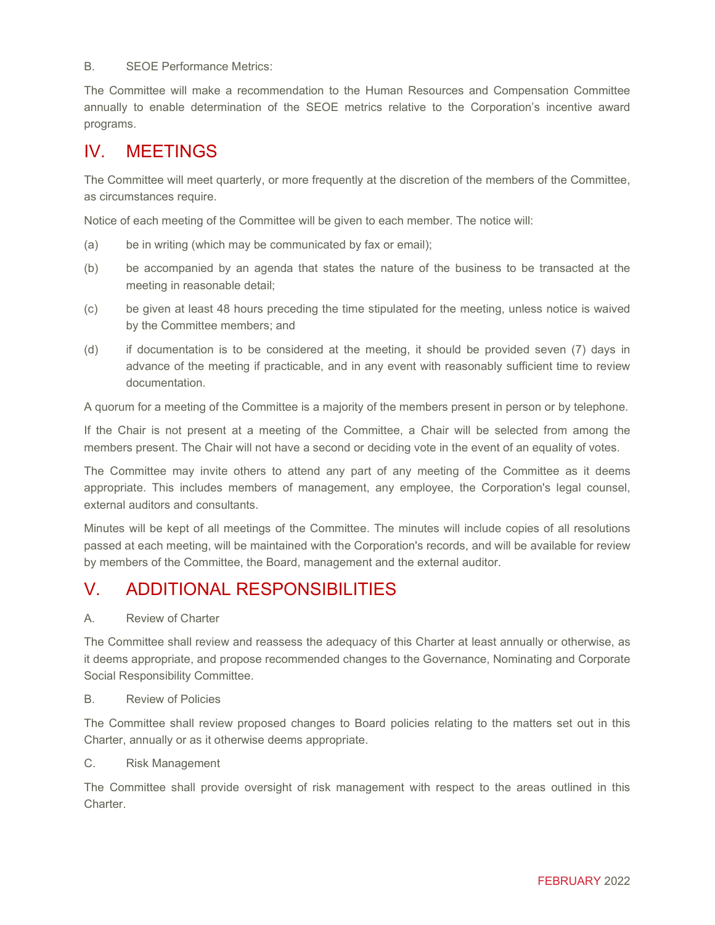B. SEOE Performance Metrics:

The Committee will make a recommendation to the Human Resources and Compensation Committee annually to enable determination of the SEOE metrics relative to the Corporation's incentive award programs.

### IV. MEETINGS

The Committee will meet quarterly, or more frequently at the discretion of the members of the Committee, as circumstances require.

Notice of each meeting of the Committee will be given to each member. The notice will:

- (a) be in writing (which may be communicated by fax or email);
- (b) be accompanied by an agenda that states the nature of the business to be transacted at the meeting in reasonable detail;
- (c) be given at least 48 hours preceding the time stipulated for the meeting, unless notice is waived by the Committee members; and
- (d) if documentation is to be considered at the meeting, it should be provided seven (7) days in advance of the meeting if practicable, and in any event with reasonably sufficient time to review documentation.

A quorum for a meeting of the Committee is a majority of the members present in person or by telephone.

If the Chair is not present at a meeting of the Committee, a Chair will be selected from among the members present. The Chair will not have a second or deciding vote in the event of an equality of votes.

The Committee may invite others to attend any part of any meeting of the Committee as it deems appropriate. This includes members of management, any employee, the Corporation's legal counsel, external auditors and consultants.

Minutes will be kept of all meetings of the Committee. The minutes will include copies of all resolutions passed at each meeting, will be maintained with the Corporation's records, and will be available for review by members of the Committee, the Board, management and the external auditor.

### V. ADDITIONAL RESPONSIBILITIES

A. Review of Charter

The Committee shall review and reassess the adequacy of this Charter at least annually or otherwise, as it deems appropriate, and propose recommended changes to the Governance, Nominating and Corporate Social Responsibility Committee.

#### B. Review of Policies

The Committee shall review proposed changes to Board policies relating to the matters set out in this Charter, annually or as it otherwise deems appropriate.

C. Risk Management

The Committee shall provide oversight of risk management with respect to the areas outlined in this Charter.